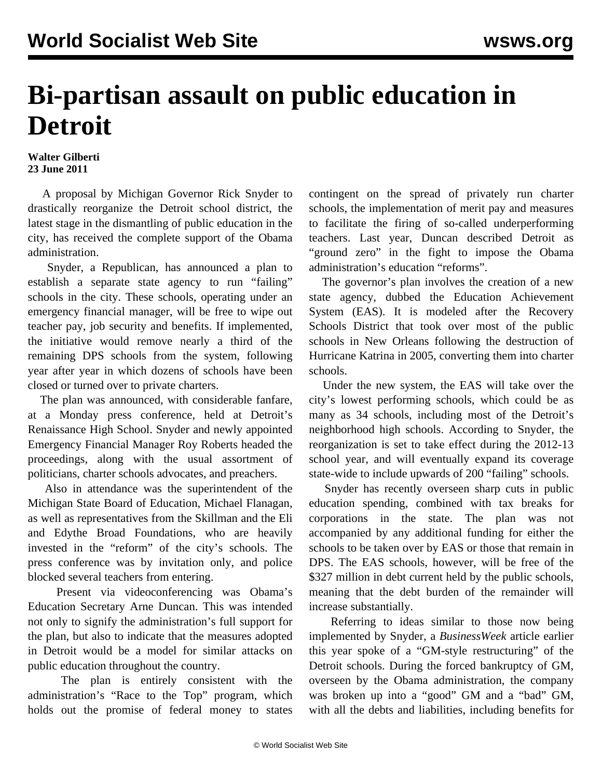## **Bi-partisan assault on public education in Detroit**

## **Walter Gilberti 23 June 2011**

 A proposal by Michigan Governor Rick Snyder to drastically reorganize the Detroit school district, the latest stage in the dismantling of public education in the city, has received the complete support of the Obama administration.

 Snyder, a Republican, has announced a plan to establish a separate state agency to run "failing" schools in the city. These schools, operating under an emergency financial manager, will be free to wipe out teacher pay, job security and benefits. If implemented, the initiative would remove nearly a third of the remaining DPS schools from the system, following year after year in which dozens of schools have been closed or turned over to private charters.

 The plan was announced, with considerable fanfare, at a Monday press conference, held at Detroit's Renaissance High School. Snyder and newly appointed Emergency Financial Manager Roy Roberts headed the proceedings, along with the usual assortment of politicians, charter schools advocates, and preachers.

 Also in attendance was the superintendent of the Michigan State Board of Education, Michael Flanagan, as well as representatives from the Skillman and the Eli and Edythe Broad Foundations, who are heavily invested in the "reform" of the city's schools. The press conference was by invitation only, and police blocked several teachers from entering.

 Present via videoconferencing was Obama's Education Secretary Arne Duncan. This was intended not only to signify the administration's full support for the plan, but also to indicate that the measures adopted in Detroit would be a model for similar attacks on public education throughout the country.

 The plan is entirely consistent with the administration's "Race to the Top" program, which holds out the promise of federal money to states contingent on the spread of privately run charter schools, the implementation of merit pay and measures to facilitate the firing of so-called underperforming teachers. Last year, Duncan described Detroit as "ground zero" in the fight to impose the Obama administration's education "reforms".

 The governor's plan involves the creation of a new state agency, dubbed the Education Achievement System (EAS). It is modeled after the Recovery Schools District that took over most of the public schools in New Orleans following the destruction of Hurricane Katrina in 2005, converting them into charter schools.

 Under the new system, the EAS will take over the city's lowest performing schools, which could be as many as 34 schools, including most of the Detroit's neighborhood high schools. According to Snyder, the reorganization is set to take effect during the 2012-13 school year, and will eventually expand its coverage state-wide to include upwards of 200 "failing" schools.

 Snyder has recently overseen sharp cuts in public education spending, combined with tax breaks for corporations in the state. The plan was not accompanied by any additional funding for either the schools to be taken over by EAS or those that remain in DPS. The EAS schools, however, will be free of the \$327 million in debt current held by the public schools, meaning that the debt burden of the remainder will increase substantially.

 Referring to ideas similar to those now being implemented by Snyder, a *BusinessWeek* [article](http://www.businessweek.com/news/2011-01-12/detroit-school-system-may-use-gm-style-restructuring.html) earlier this year spoke of a "GM-style restructuring" of the Detroit schools. During the forced bankruptcy of GM, overseen by the Obama administration, the company was broken up into a "good" GM and a "bad" GM, with all the debts and liabilities, including benefits for